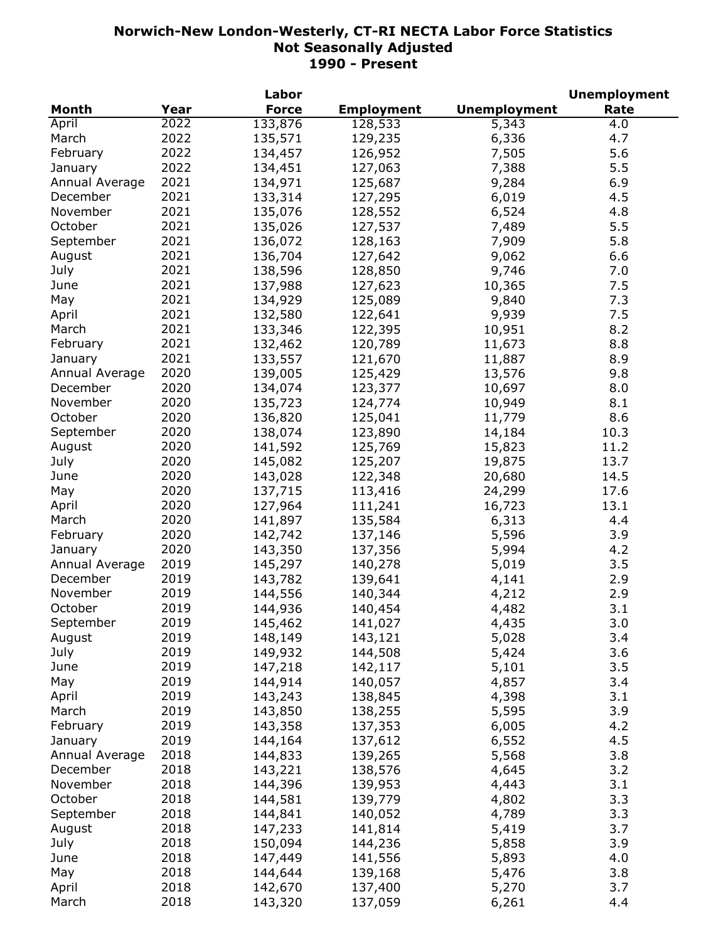|                |      | Labor        |                   |                     | <b>Unemployment</b> |
|----------------|------|--------------|-------------------|---------------------|---------------------|
| <b>Month</b>   | Year | <b>Force</b> | <b>Employment</b> | <b>Unemployment</b> | Rate                |
| April          | 2022 | 133,876      | 128,533           | 5,343               | 4.0                 |
| March          | 2022 | 135,571      | 129,235           | 6,336               | 4.7                 |
| February       | 2022 | 134,457      | 126,952           | 7,505               | 5.6                 |
| January        | 2022 | 134,451      | 127,063           | 7,388               | 5.5                 |
| Annual Average | 2021 | 134,971      | 125,687           | 9,284               | 6.9                 |
| December       | 2021 | 133,314      | 127,295           | 6,019               | 4.5                 |
| November       | 2021 | 135,076      | 128,552           | 6,524               | 4.8                 |
| October        | 2021 | 135,026      | 127,537           | 7,489               | 5.5                 |
| September      | 2021 | 136,072      | 128,163           | 7,909               | 5.8                 |
|                | 2021 |              |                   |                     |                     |
| August         |      | 136,704      | 127,642           | 9,062               | 6.6                 |
| July           | 2021 | 138,596      | 128,850           | 9,746               | 7.0                 |
| June           | 2021 | 137,988      | 127,623           | 10,365              | 7.5                 |
| May            | 2021 | 134,929      | 125,089           | 9,840               | 7.3                 |
| April          | 2021 | 132,580      | 122,641           | 9,939               | 7.5                 |
| March          | 2021 | 133,346      | 122,395           | 10,951              | 8.2                 |
| February       | 2021 | 132,462      | 120,789           | 11,673              | 8.8                 |
| January        | 2021 | 133,557      | 121,670           | 11,887              | 8.9                 |
| Annual Average | 2020 | 139,005      | 125,429           | 13,576              | 9.8                 |
| December       | 2020 | 134,074      | 123,377           | 10,697              | 8.0                 |
| November       | 2020 | 135,723      | 124,774           | 10,949              | 8.1                 |
| October        | 2020 | 136,820      | 125,041           | 11,779              | 8.6                 |
| September      | 2020 | 138,074      | 123,890           | 14,184              | 10.3                |
| August         | 2020 | 141,592      | 125,769           | 15,823              | 11.2                |
| July           | 2020 | 145,082      | 125,207           | 19,875              | 13.7                |
| June           | 2020 | 143,028      | 122,348           | 20,680              | 14.5                |
| May            | 2020 | 137,715      | 113,416           | 24,299              | 17.6                |
| April          | 2020 | 127,964      | 111,241           | 16,723              | 13.1                |
| March          | 2020 | 141,897      | 135,584           | 6,313               | 4.4                 |
| February       | 2020 | 142,742      | 137,146           | 5,596               | 3.9                 |
| January        | 2020 |              | 137,356           |                     | 4.2                 |
|                |      | 143,350      |                   | 5,994               |                     |
| Annual Average | 2019 | 145,297      | 140,278           | 5,019               | 3.5                 |
| December       | 2019 | 143,782      | 139,641           | 4,141               | 2.9                 |
| November       | 2019 | 144,556      | 140,344           | 4,212               | 2.9                 |
| October        | 2019 | 144,936      | 140,454           | 4,482               | 3.1                 |
| September      | 2019 | 145,462      | 141,027           | 4,435               | 3.0                 |
| August         | 2019 | 148,149      | 143,121           | 5,028               | 3.4                 |
| July           | 2019 | 149,932      | 144,508           | 5,424               | 3.6                 |
| June           | 2019 | 147,218      | 142,117           | 5,101               | 3.5                 |
| May            | 2019 | 144,914      | 140,057           | 4,857               | 3.4                 |
| April          | 2019 | 143,243      | 138,845           | 4,398               | 3.1                 |
| March          | 2019 | 143,850      | 138,255           | 5,595               | 3.9                 |
| February       | 2019 | 143,358      | 137,353           | 6,005               | 4.2                 |
| January        | 2019 | 144,164      | 137,612           | 6,552               | 4.5                 |
| Annual Average | 2018 | 144,833      | 139,265           | 5,568               | 3.8                 |
| December       | 2018 | 143,221      | 138,576           | 4,645               | 3.2                 |
| November       | 2018 | 144,396      | 139,953           | 4,443               | 3.1                 |
| October        | 2018 | 144,581      | 139,779           | 4,802               | 3.3                 |
| September      | 2018 | 144,841      | 140,052           | 4,789               | 3.3                 |
| August         | 2018 | 147,233      | 141,814           | 5,419               | 3.7                 |
| July           | 2018 | 150,094      | 144,236           | 5,858               | 3.9                 |
| June           | 2018 | 147,449      | 141,556           | 5,893               | 4.0                 |
| May            | 2018 | 144,644      | 139,168           | 5,476               | 3.8                 |
| April          | 2018 | 142,670      | 137,400           | 5,270               | 3.7                 |
| March          | 2018 | 143,320      | 137,059           | 6,261               | 4.4                 |
|                |      |              |                   |                     |                     |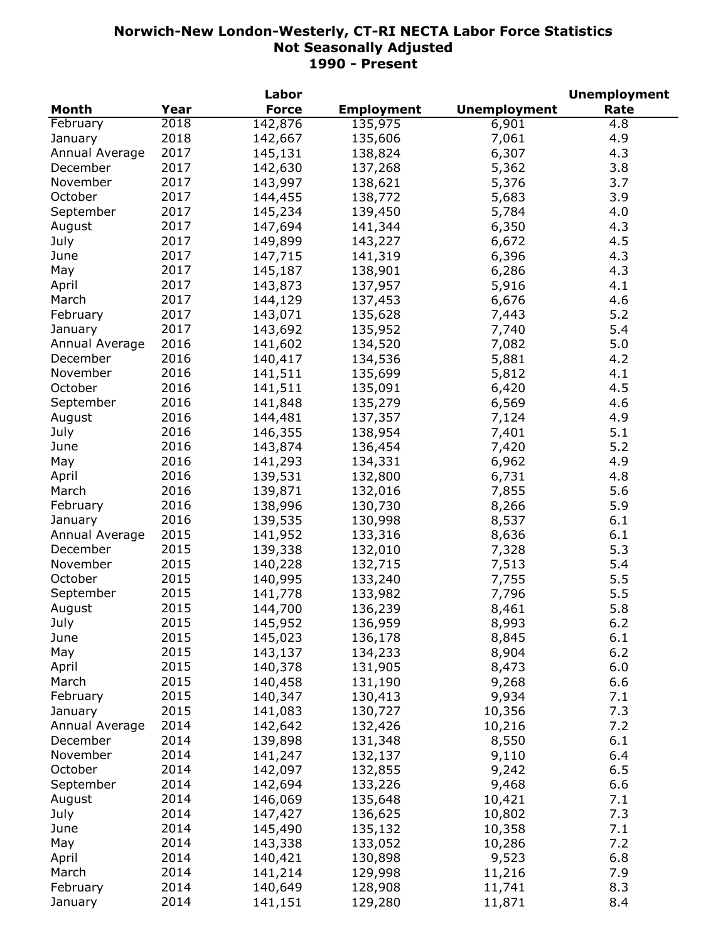|                |      | Labor        |                   |                     | <b>Unemployment</b> |
|----------------|------|--------------|-------------------|---------------------|---------------------|
| <b>Month</b>   | Year | <b>Force</b> | <b>Employment</b> | <b>Unemployment</b> | Rate                |
| February       | 2018 | 142,876      | 135,975           | 6,901               | 4.8                 |
| January        | 2018 | 142,667      | 135,606           | 7,061               | 4.9                 |
| Annual Average | 2017 | 145,131      | 138,824           | 6,307               | 4.3                 |
| December       | 2017 | 142,630      | 137,268           | 5,362               | 3.8                 |
| November       | 2017 | 143,997      | 138,621           | 5,376               | 3.7                 |
| October        | 2017 | 144,455      | 138,772           | 5,683               | 3.9                 |
| September      | 2017 | 145,234      | 139,450           | 5,784               | 4.0                 |
| August         | 2017 | 147,694      | 141,344           | 6,350               | 4.3                 |
| July           | 2017 | 149,899      | 143,227           | 6,672               | 4.5                 |
| June           | 2017 | 147,715      | 141,319           | 6,396               | 4.3                 |
| May            | 2017 | 145,187      | 138,901           | 6,286               | 4.3                 |
|                | 2017 |              |                   |                     | 4.1                 |
| April          |      | 143,873      | 137,957           | 5,916               |                     |
| March          | 2017 | 144,129      | 137,453           | 6,676               | 4.6                 |
| February       | 2017 | 143,071      | 135,628           | 7,443               | 5.2                 |
| January        | 2017 | 143,692      | 135,952           | 7,740               | 5.4                 |
| Annual Average | 2016 | 141,602      | 134,520           | 7,082               | 5.0                 |
| December       | 2016 | 140,417      | 134,536           | 5,881               | 4.2                 |
| November       | 2016 | 141,511      | 135,699           | 5,812               | 4.1                 |
| October        | 2016 | 141,511      | 135,091           | 6,420               | 4.5                 |
| September      | 2016 | 141,848      | 135,279           | 6,569               | 4.6                 |
| August         | 2016 | 144,481      | 137,357           | 7,124               | 4.9                 |
| July           | 2016 | 146,355      | 138,954           | 7,401               | 5.1                 |
| June           | 2016 | 143,874      | 136,454           | 7,420               | 5.2                 |
| May            | 2016 | 141,293      | 134,331           | 6,962               | 4.9                 |
| April          | 2016 | 139,531      | 132,800           | 6,731               | 4.8                 |
| March          | 2016 | 139,871      | 132,016           | 7,855               | 5.6                 |
| February       | 2016 | 138,996      | 130,730           | 8,266               | 5.9                 |
| January        | 2016 | 139,535      | 130,998           | 8,537               | 6.1                 |
| Annual Average | 2015 | 141,952      | 133,316           | 8,636               | 6.1                 |
| December       | 2015 | 139,338      | 132,010           | 7,328               | 5.3                 |
| November       | 2015 | 140,228      | 132,715           | 7,513               | 5.4                 |
| October        | 2015 | 140,995      | 133,240           | 7,755               | 5.5                 |
| September      | 2015 | 141,778      | 133,982           | 7,796               | 5.5                 |
| August         | 2015 | 144,700      | 136,239           | 8,461               | 5.8                 |
| July           | 2015 | 145,952      | 136,959           | 8,993               | 6.2                 |
| June           | 2015 | 145,023      | 136,178           | 8,845               | 6.1                 |
| May            | 2015 | 143,137      | 134,233           | 8,904               | 6.2                 |
| April          | 2015 | 140,378      | 131,905           | 8,473               | 6.0                 |
| March          | 2015 | 140,458      | 131,190           | 9,268               | 6.6                 |
| February       | 2015 | 140,347      | 130,413           | 9,934               | 7.1                 |
|                | 2015 |              |                   |                     |                     |
| January        |      | 141,083      | 130,727           | 10,356              | 7.3                 |
| Annual Average | 2014 | 142,642      | 132,426           | 10,216              | 7.2                 |
| December       | 2014 | 139,898      | 131,348           | 8,550               | 6.1                 |
| November       | 2014 | 141,247      | 132,137           | 9,110               | 6.4                 |
| October        | 2014 | 142,097      | 132,855           | 9,242               | 6.5                 |
| September      | 2014 | 142,694      | 133,226           | 9,468               | 6.6                 |
| August         | 2014 | 146,069      | 135,648           | 10,421              | 7.1                 |
| July           | 2014 | 147,427      | 136,625           | 10,802              | 7.3                 |
| June           | 2014 | 145,490      | 135,132           | 10,358              | 7.1                 |
| May            | 2014 | 143,338      | 133,052           | 10,286              | 7.2                 |
| April          | 2014 | 140,421      | 130,898           | 9,523               | 6.8                 |
| March          | 2014 | 141,214      | 129,998           | 11,216              | 7.9                 |
| February       | 2014 | 140,649      | 128,908           | 11,741              | 8.3                 |
| January        | 2014 | 141,151      | 129,280           | 11,871              | 8.4                 |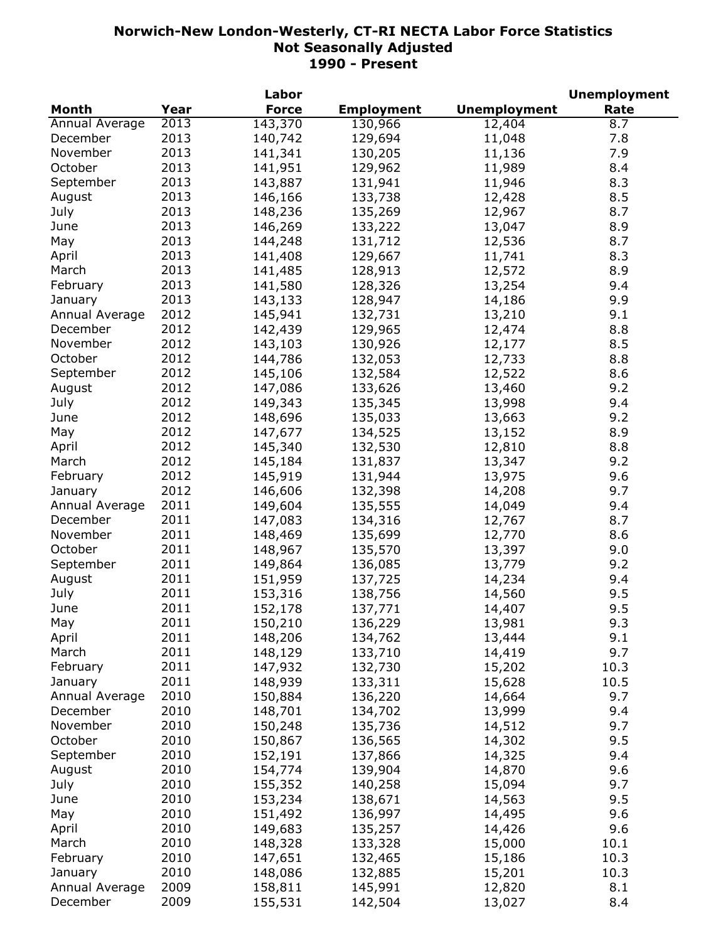|                |      | Labor        |                   |                     | <b>Unemployment</b> |
|----------------|------|--------------|-------------------|---------------------|---------------------|
| <b>Month</b>   | Year | <b>Force</b> | <b>Employment</b> | <b>Unemployment</b> | Rate                |
| Annual Average | 2013 | 143,370      | 130,966           | 12,404              | 8.7                 |
| December       | 2013 | 140,742      | 129,694           | 11,048              | 7.8                 |
| November       | 2013 | 141,341      | 130,205           | 11,136              | 7.9                 |
| October        | 2013 | 141,951      | 129,962           | 11,989              | 8.4                 |
| September      | 2013 | 143,887      | 131,941           | 11,946              | 8.3                 |
| August         | 2013 | 146,166      | 133,738           | 12,428              | 8.5                 |
| July           | 2013 | 148,236      | 135,269           | 12,967              | 8.7                 |
| June           | 2013 | 146,269      | 133,222           | 13,047              | 8.9                 |
| May            | 2013 | 144,248      | 131,712           | 12,536              | 8.7                 |
| April          | 2013 | 141,408      | 129,667           | 11,741              | 8.3                 |
| March          | 2013 | 141,485      | 128,913           | 12,572              | 8.9                 |
| February       | 2013 | 141,580      | 128,326           | 13,254              | 9.4                 |
|                | 2013 |              | 128,947           | 14,186              | 9.9                 |
| January        |      | 143,133      |                   |                     | 9.1                 |
| Annual Average | 2012 | 145,941      | 132,731           | 13,210              |                     |
| December       | 2012 | 142,439      | 129,965           | 12,474              | 8.8                 |
| November       | 2012 | 143,103      | 130,926           | 12,177              | 8.5                 |
| October        | 2012 | 144,786      | 132,053           | 12,733              | 8.8                 |
| September      | 2012 | 145,106      | 132,584           | 12,522              | 8.6                 |
| August         | 2012 | 147,086      | 133,626           | 13,460              | 9.2                 |
| July           | 2012 | 149,343      | 135,345           | 13,998              | 9.4                 |
| June           | 2012 | 148,696      | 135,033           | 13,663              | 9.2                 |
| May            | 2012 | 147,677      | 134,525           | 13,152              | 8.9                 |
| April          | 2012 | 145,340      | 132,530           | 12,810              | 8.8                 |
| March          | 2012 | 145,184      | 131,837           | 13,347              | 9.2                 |
| February       | 2012 | 145,919      | 131,944           | 13,975              | 9.6                 |
| January        | 2012 | 146,606      | 132,398           | 14,208              | 9.7                 |
| Annual Average | 2011 | 149,604      | 135,555           | 14,049              | 9.4                 |
| December       | 2011 | 147,083      | 134,316           | 12,767              | 8.7                 |
| November       | 2011 | 148,469      | 135,699           | 12,770              | 8.6                 |
| October        | 2011 | 148,967      | 135,570           | 13,397              | 9.0                 |
| September      | 2011 | 149,864      | 136,085           | 13,779              | 9.2                 |
| August         | 2011 | 151,959      | 137,725           | 14,234              | 9.4                 |
| July           | 2011 | 153,316      | 138,756           | 14,560              | 9.5                 |
| June           | 2011 | 152,178      | 137,771           | 14,407              | 9.5                 |
| May            | 2011 | 150,210      | 136,229           | 13,981              | 9.3                 |
| April          | 2011 | 148,206      | 134,762           | 13,444              | 9.1                 |
| March          | 2011 | 148,129      | 133,710           | 14,419              | 9.7                 |
| February       | 2011 | 147,932      | 132,730           | 15,202              | 10.3                |
| January        | 2011 | 148,939      | 133,311           | 15,628              | 10.5                |
| Annual Average | 2010 | 150,884      | 136,220           | 14,664              | 9.7                 |
| December       | 2010 | 148,701      | 134,702           | 13,999              | 9.4                 |
| November       | 2010 |              |                   |                     | 9.7                 |
|                |      | 150,248      | 135,736           | 14,512              |                     |
| October        | 2010 | 150,867      | 136,565           | 14,302              | 9.5                 |
| September      | 2010 | 152,191      | 137,866           | 14,325              | 9.4                 |
| August         | 2010 | 154,774      | 139,904           | 14,870              | 9.6                 |
| July           | 2010 | 155,352      | 140,258           | 15,094              | 9.7                 |
| June           | 2010 | 153,234      | 138,671           | 14,563              | 9.5                 |
| May            | 2010 | 151,492      | 136,997           | 14,495              | 9.6                 |
| April          | 2010 | 149,683      | 135,257           | 14,426              | 9.6                 |
| March          | 2010 | 148,328      | 133,328           | 15,000              | 10.1                |
| February       | 2010 | 147,651      | 132,465           | 15,186              | 10.3                |
| January        | 2010 | 148,086      | 132,885           | 15,201              | 10.3                |
| Annual Average | 2009 | 158,811      | 145,991           | 12,820              | 8.1                 |
| December       | 2009 | 155,531      | 142,504           | 13,027              | 8.4                 |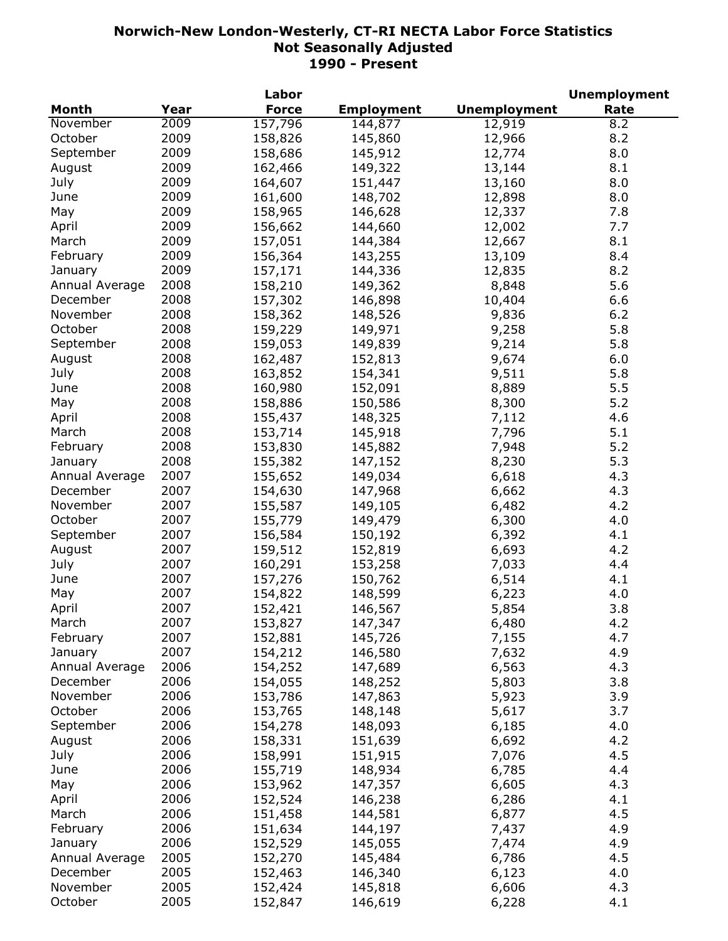|                |      | Labor        |                   |                     | <b>Unemployment</b> |
|----------------|------|--------------|-------------------|---------------------|---------------------|
| <b>Month</b>   | Year | <b>Force</b> | <b>Employment</b> | <b>Unemployment</b> | Rate                |
| November       | 2009 | 157,796      | 144,877           | 12,919              | 8.2                 |
| October        | 2009 | 158,826      | 145,860           | 12,966              | 8.2                 |
| September      | 2009 | 158,686      | 145,912           | 12,774              | 8.0                 |
| August         | 2009 | 162,466      | 149,322           | 13,144              | 8.1                 |
| July           | 2009 | 164,607      | 151,447           | 13,160              | 8.0                 |
| June           | 2009 | 161,600      | 148,702           | 12,898              | 8.0                 |
| May            | 2009 | 158,965      | 146,628           | 12,337              | 7.8                 |
| April          | 2009 | 156,662      | 144,660           | 12,002              | 7.7                 |
| March          | 2009 | 157,051      | 144,384           | 12,667              | 8.1                 |
| February       | 2009 | 156,364      | 143,255           | 13,109              | 8.4                 |
| January        | 2009 | 157,171      | 144,336           | 12,835              | 8.2                 |
| Annual Average | 2008 | 158,210      | 149,362           | 8,848               | 5.6                 |
| December       | 2008 | 157,302      | 146,898           | 10,404              | 6.6                 |
| November       | 2008 | 158,362      | 148,526           | 9,836               | 6.2                 |
| October        | 2008 | 159,229      | 149,971           | 9,258               | 5.8                 |
|                | 2008 |              |                   |                     |                     |
| September      |      | 159,053      | 149,839           | 9,214               | 5.8                 |
| August         | 2008 | 162,487      | 152,813           | 9,674               | 6.0                 |
| July           | 2008 | 163,852      | 154,341           | 9,511               | 5.8                 |
| June           | 2008 | 160,980      | 152,091           | 8,889               | 5.5                 |
| May            | 2008 | 158,886      | 150,586           | 8,300               | 5.2                 |
| April          | 2008 | 155,437      | 148,325           | 7,112               | 4.6                 |
| March          | 2008 | 153,714      | 145,918           | 7,796               | 5.1                 |
| February       | 2008 | 153,830      | 145,882           | 7,948               | 5.2                 |
| January        | 2008 | 155,382      | 147,152           | 8,230               | 5.3                 |
| Annual Average | 2007 | 155,652      | 149,034           | 6,618               | 4.3                 |
| December       | 2007 | 154,630      | 147,968           | 6,662               | 4.3                 |
| November       | 2007 | 155,587      | 149,105           | 6,482               | 4.2                 |
| October        | 2007 | 155,779      | 149,479           | 6,300               | 4.0                 |
| September      | 2007 | 156,584      | 150,192           | 6,392               | 4.1                 |
| August         | 2007 | 159,512      | 152,819           | 6,693               | 4.2                 |
| July           | 2007 | 160,291      | 153,258           | 7,033               | 4.4                 |
| June           | 2007 | 157,276      | 150,762           | 6,514               | 4.1                 |
| May            | 2007 | 154,822      | 148,599           | 6,223               | 4.0                 |
| April          | 2007 | 152,421      | 146,567           | 5,854               | 3.8                 |
| March          | 2007 | 153,827      | 147,347           | 6,480               | 4.2                 |
| February       | 2007 | 152,881      | 145,726           | 7,155               | 4.7                 |
| January        | 2007 | 154,212      | 146,580           | 7,632               | 4.9                 |
| Annual Average | 2006 | 154,252      | 147,689           | 6,563               | 4.3                 |
| December       | 2006 | 154,055      | 148,252           | 5,803               | 3.8                 |
| November       | 2006 | 153,786      | 147,863           | 5,923               | 3.9                 |
| October        | 2006 | 153,765      | 148,148           | 5,617               | 3.7                 |
| September      | 2006 | 154,278      | 148,093           | 6,185               | 4.0                 |
| August         | 2006 | 158,331      | 151,639           | 6,692               | 4.2                 |
| July           | 2006 | 158,991      | 151,915           | 7,076               | 4.5                 |
| June           | 2006 | 155,719      | 148,934           | 6,785               | 4.4                 |
| May            | 2006 | 153,962      | 147,357           | 6,605               | 4.3                 |
| April          | 2006 | 152,524      | 146,238           | 6,286               | 4.1                 |
| March          | 2006 | 151,458      | 144,581           | 6,877               | 4.5                 |
| February       | 2006 |              |                   |                     | 4.9                 |
|                |      | 151,634      | 144,197           | 7,437               |                     |
| January        | 2006 | 152,529      | 145,055           | 7,474               | 4.9                 |
| Annual Average | 2005 | 152,270      | 145,484           | 6,786               | 4.5                 |
| December       | 2005 | 152,463      | 146,340           | 6,123               | 4.0                 |
| November       | 2005 | 152,424      | 145,818           | 6,606               | 4.3                 |
| October        | 2005 | 152,847      | 146,619           | 6,228               | 4.1                 |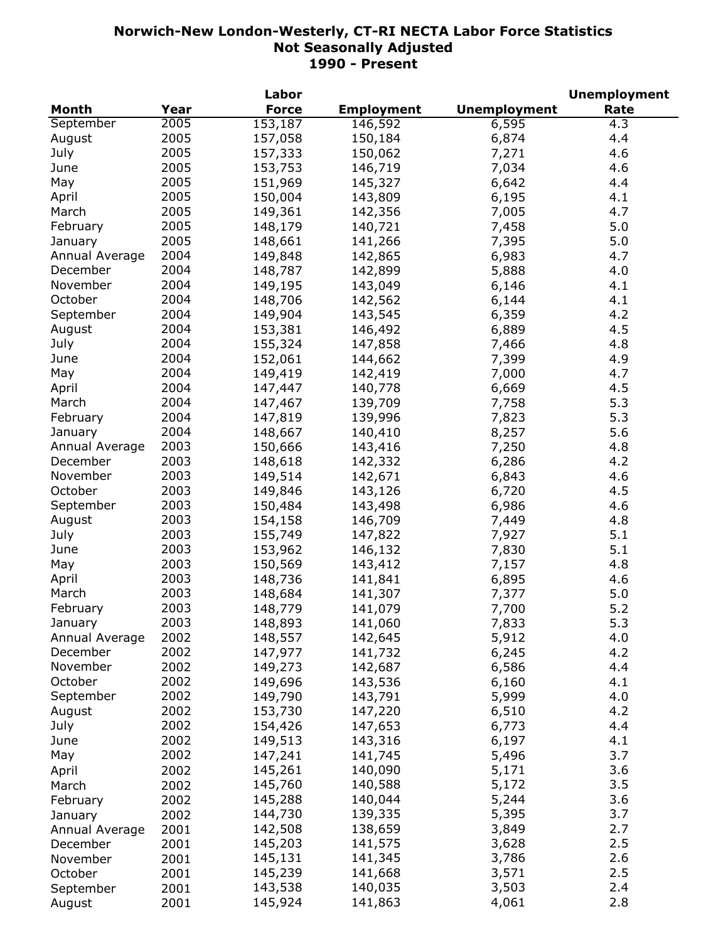|                |      | Labor        |                   |                     | <b>Unemployment</b> |
|----------------|------|--------------|-------------------|---------------------|---------------------|
| <b>Month</b>   | Year | <b>Force</b> | <b>Employment</b> | <b>Unemployment</b> | Rate                |
| September      | 2005 | 153,187      | 146,592           | 6,595               | 4.3                 |
| August         | 2005 | 157,058      | 150,184           | 6,874               | 4.4                 |
| July           | 2005 | 157,333      | 150,062           | 7,271               | 4.6                 |
| June           | 2005 | 153,753      | 146,719           | 7,034               | 4.6                 |
| May            | 2005 | 151,969      | 145,327           | 6,642               | 4.4                 |
| April          | 2005 | 150,004      | 143,809           | 6,195               | 4.1                 |
| March          | 2005 | 149,361      | 142,356           | 7,005               | 4.7                 |
| February       | 2005 | 148,179      | 140,721           | 7,458               | 5.0                 |
| January        | 2005 | 148,661      | 141,266           | 7,395               | 5.0                 |
| Annual Average | 2004 | 149,848      | 142,865           | 6,983               | 4.7                 |
| December       | 2004 | 148,787      | 142,899           | 5,888               | 4.0                 |
| November       |      |              |                   |                     |                     |
|                | 2004 | 149,195      | 143,049           | 6,146               | 4.1                 |
| October        | 2004 | 148,706      | 142,562           | 6,144               | 4.1                 |
| September      | 2004 | 149,904      | 143,545           | 6,359               | 4.2                 |
| August         | 2004 | 153,381      | 146,492           | 6,889               | 4.5                 |
| July           | 2004 | 155,324      | 147,858           | 7,466               | 4.8                 |
| June           | 2004 | 152,061      | 144,662           | 7,399               | 4.9                 |
| May            | 2004 | 149,419      | 142,419           | 7,000               | 4.7                 |
| April          | 2004 | 147,447      | 140,778           | 6,669               | 4.5                 |
| March          | 2004 | 147,467      | 139,709           | 7,758               | 5.3                 |
| February       | 2004 | 147,819      | 139,996           | 7,823               | 5.3                 |
| January        | 2004 | 148,667      | 140,410           | 8,257               | 5.6                 |
| Annual Average | 2003 | 150,666      | 143,416           | 7,250               | 4.8                 |
| December       | 2003 | 148,618      | 142,332           | 6,286               | 4.2                 |
| November       | 2003 | 149,514      | 142,671           | 6,843               | 4.6                 |
| October        | 2003 | 149,846      | 143,126           | 6,720               | 4.5                 |
| September      | 2003 | 150,484      | 143,498           | 6,986               | 4.6                 |
| August         | 2003 | 154,158      | 146,709           | 7,449               | 4.8                 |
| July           | 2003 | 155,749      | 147,822           | 7,927               | 5.1                 |
| June           | 2003 | 153,962      | 146,132           | 7,830               | 5.1                 |
| May            | 2003 | 150,569      | 143,412           | 7,157               | 4.8                 |
| April          | 2003 | 148,736      | 141,841           | 6,895               | 4.6                 |
| March          | 2003 | 148,684      | 141,307           | 7,377               | 5.0                 |
| February       | 2003 | 148,779      | 141,079           | 7,700               | 5.2                 |
| January        | 2003 | 148,893      | 141,060           | 7,833               | 5.3                 |
| Annual Average | 2002 | 148,557      | 142,645           | 5,912               | 4.0                 |
| December       | 2002 | 147,977      | 141,732           | 6,245               | 4.2                 |
| November       | 2002 | 149,273      | 142,687           | 6,586               | 4.4                 |
| October        | 2002 |              |                   |                     | 4.1                 |
|                | 2002 | 149,696      | 143,536           | 6,160               |                     |
| September      |      | 149,790      | 143,791           | 5,999               | 4.0                 |
| August         | 2002 | 153,730      | 147,220           | 6,510               | 4.2                 |
| July           | 2002 | 154,426      | 147,653           | 6,773               | 4.4                 |
| June           | 2002 | 149,513      | 143,316           | 6,197               | 4.1                 |
| May            | 2002 | 147,241      | 141,745           | 5,496               | 3.7                 |
| April          | 2002 | 145,261      | 140,090           | 5,171               | 3.6                 |
| March          | 2002 | 145,760      | 140,588           | 5,172               | 3.5                 |
| February       | 2002 | 145,288      | 140,044           | 5,244               | 3.6                 |
| January        | 2002 | 144,730      | 139,335           | 5,395               | 3.7                 |
| Annual Average | 2001 | 142,508      | 138,659           | 3,849               | 2.7                 |
| December       | 2001 | 145,203      | 141,575           | 3,628               | 2.5                 |
| November       | 2001 | 145,131      | 141,345           | 3,786               | 2.6                 |
| October        | 2001 | 145,239      | 141,668           | 3,571               | 2.5                 |
| September      | 2001 | 143,538      | 140,035           | 3,503               | 2.4                 |
| August         | 2001 | 145,924      | 141,863           | 4,061               | 2.8                 |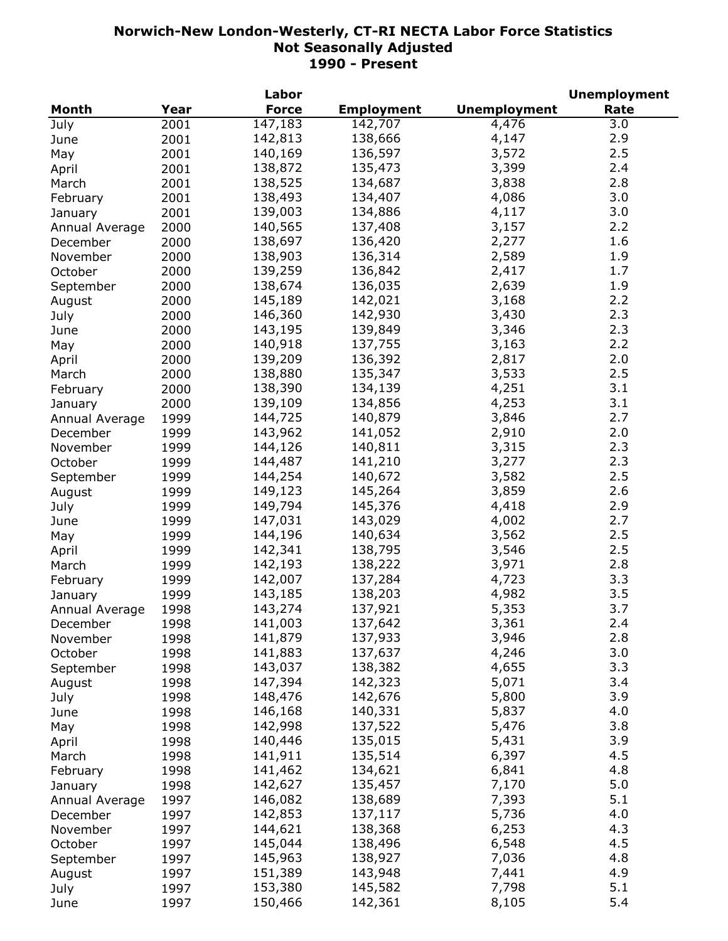|                |      | Labor        |                   |                     | <b>Unemployment</b> |
|----------------|------|--------------|-------------------|---------------------|---------------------|
| Month          | Year | <b>Force</b> | <b>Employment</b> | <b>Unemployment</b> | Rate                |
| July           | 2001 | 147,183      | 142,707           | 4,476               | 3.0                 |
| June           | 2001 | 142,813      | 138,666           | 4,147               | 2.9                 |
| May            | 2001 | 140,169      | 136,597           | 3,572               | 2.5                 |
| April          | 2001 | 138,872      | 135,473           | 3,399               | 2.4                 |
| March          | 2001 | 138,525      | 134,687           | 3,838               | 2.8                 |
| February       | 2001 | 138,493      | 134,407           | 4,086               | 3.0                 |
| January        | 2001 | 139,003      | 134,886           | 4,117               | 3.0                 |
| Annual Average | 2000 | 140,565      | 137,408           | 3,157               | 2.2                 |
| December       | 2000 | 138,697      | 136,420           | 2,277               | 1.6                 |
| November       | 2000 | 138,903      | 136,314           | 2,589               | 1.9                 |
|                |      | 139,259      | 136,842           | 2,417               | 1.7                 |
| October        | 2000 | 138,674      | 136,035           | 2,639               | 1.9                 |
| September      | 2000 |              |                   |                     |                     |
| August         | 2000 | 145,189      | 142,021           | 3,168               | 2.2                 |
| July           | 2000 | 146,360      | 142,930           | 3,430               | 2.3                 |
| June           | 2000 | 143,195      | 139,849           | 3,346               | 2.3                 |
| May            | 2000 | 140,918      | 137,755           | 3,163               | 2.2                 |
| April          | 2000 | 139,209      | 136,392           | 2,817               | 2.0                 |
| March          | 2000 | 138,880      | 135,347           | 3,533               | 2.5                 |
| February       | 2000 | 138,390      | 134,139           | 4,251               | 3.1                 |
| January        | 2000 | 139,109      | 134,856           | 4,253               | 3.1                 |
| Annual Average | 1999 | 144,725      | 140,879           | 3,846               | 2.7                 |
| December       | 1999 | 143,962      | 141,052           | 2,910               | 2.0                 |
| November       | 1999 | 144,126      | 140,811           | 3,315               | 2.3                 |
| October        | 1999 | 144,487      | 141,210           | 3,277               | 2.3                 |
| September      | 1999 | 144,254      | 140,672           | 3,582               | 2.5                 |
| August         | 1999 | 149,123      | 145,264           | 3,859               | 2.6                 |
| July           | 1999 | 149,794      | 145,376           | 4,418               | 2.9                 |
| June           | 1999 | 147,031      | 143,029           | 4,002               | 2.7                 |
| May            | 1999 | 144,196      | 140,634           | 3,562               | 2.5                 |
| April          | 1999 | 142,341      | 138,795           | 3,546               | 2.5                 |
| March          | 1999 | 142,193      | 138,222           | 3,971               | 2.8                 |
| February       | 1999 | 142,007      | 137,284           | 4,723               | 3.3                 |
| January        | 1999 | 143,185      | 138,203           | 4,982               | 3.5                 |
| Annual Average | 1998 | 143,274      | 137,921           | 5,353               | 3.7                 |
| December       | 1998 | 141,003      | 137,642           | 3,361               | 2.4                 |
|                | 1998 | 141,879      | 137,933           | 3,946               | 2.8                 |
| November       |      | 141,883      | 137,637           | 4,246               | 3.0                 |
| October        | 1998 | 143,037      | 138,382           | 4,655               | 3.3                 |
| September      | 1998 | 147,394      | 142,323           | 5,071               | 3.4                 |
| August         | 1998 |              |                   |                     | 3.9                 |
| July           | 1998 | 148,476      | 142,676           | 5,800               |                     |
| June           | 1998 | 146,168      | 140,331           | 5,837               | 4.0                 |
| May            | 1998 | 142,998      | 137,522           | 5,476               | 3.8                 |
| April          | 1998 | 140,446      | 135,015           | 5,431               | 3.9                 |
| March          | 1998 | 141,911      | 135,514           | 6,397               | 4.5                 |
| February       | 1998 | 141,462      | 134,621           | 6,841               | 4.8                 |
| January        | 1998 | 142,627      | 135,457           | 7,170               | 5.0                 |
| Annual Average | 1997 | 146,082      | 138,689           | 7,393               | 5.1                 |
| December       | 1997 | 142,853      | 137,117           | 5,736               | 4.0                 |
| November       | 1997 | 144,621      | 138,368           | 6,253               | 4.3                 |
| October        | 1997 | 145,044      | 138,496           | 6,548               | 4.5                 |
| September      | 1997 | 145,963      | 138,927           | 7,036               | 4.8                 |
| August         | 1997 | 151,389      | 143,948           | 7,441               | 4.9                 |
| July           | 1997 | 153,380      | 145,582           | 7,798               | 5.1                 |
| June           | 1997 | 150,466      | 142,361           | 8,105               | 5.4                 |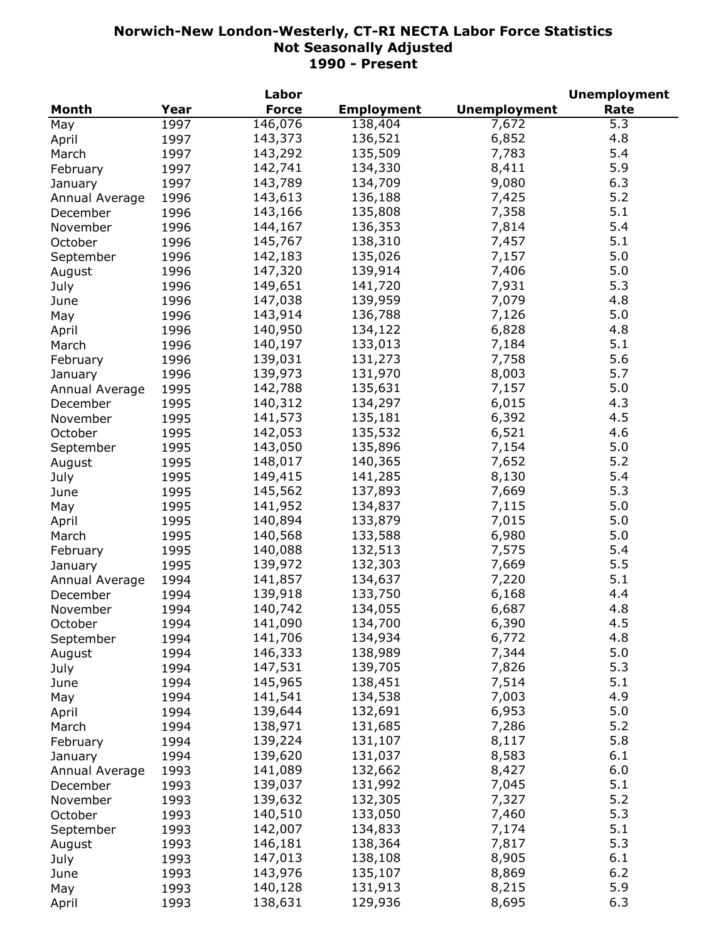|                |      | Labor        |                   |                     | <b>Unemployment</b> |
|----------------|------|--------------|-------------------|---------------------|---------------------|
| Month          | Year | <b>Force</b> | <b>Employment</b> | <b>Unemployment</b> | Rate                |
| May            | 1997 | 146, 076     | 138,404           | 7,672               | 5.3                 |
| April          | 1997 | 143,373      | 136,521           | 6,852               | 4.8                 |
| March          | 1997 | 143,292      | 135,509           | 7,783               | 5.4                 |
| February       | 1997 | 142,741      | 134,330           | 8,411               | 5.9                 |
| January        | 1997 | 143,789      | 134,709           | 9,080               | 6.3                 |
| Annual Average | 1996 | 143,613      | 136,188           | 7,425               | 5.2                 |
| December       | 1996 | 143,166      | 135,808           | 7,358               | 5.1                 |
| November       | 1996 | 144,167      | 136,353           | 7,814               | 5.4                 |
| October        | 1996 | 145,767      | 138,310           | 7,457               | 5.1                 |
|                |      | 142,183      | 135,026           | 7,157               | 5.0                 |
| September      | 1996 |              |                   |                     | 5.0                 |
| August         | 1996 | 147,320      | 139,914           | 7,406               |                     |
| July           | 1996 | 149,651      | 141,720           | 7,931               | 5.3                 |
| June           | 1996 | 147,038      | 139,959           | 7,079               | 4.8                 |
| May            | 1996 | 143,914      | 136,788           | 7,126               | 5.0                 |
| April          | 1996 | 140,950      | 134,122           | 6,828               | 4.8                 |
| March          | 1996 | 140,197      | 133,013           | 7,184               | 5.1                 |
| February       | 1996 | 139,031      | 131,273           | 7,758               | 5.6                 |
| January        | 1996 | 139,973      | 131,970           | 8,003               | 5.7                 |
| Annual Average | 1995 | 142,788      | 135,631           | 7,157               | 5.0                 |
| December       | 1995 | 140,312      | 134,297           | 6,015               | 4.3                 |
| November       | 1995 | 141,573      | 135,181           | 6,392               | 4.5                 |
| October        | 1995 | 142,053      | 135,532           | 6,521               | 4.6                 |
| September      | 1995 | 143,050      | 135,896           | 7,154               | 5.0                 |
| August         | 1995 | 148,017      | 140,365           | 7,652               | 5.2                 |
| July           | 1995 | 149,415      | 141,285           | 8,130               | 5.4                 |
| June           | 1995 | 145,562      | 137,893           | 7,669               | 5.3                 |
| May            | 1995 | 141,952      | 134,837           | 7,115               | 5.0                 |
| April          | 1995 | 140,894      | 133,879           | 7,015               | 5.0                 |
| March          | 1995 | 140,568      | 133,588           | 6,980               | 5.0                 |
| February       | 1995 | 140,088      | 132,513           | 7,575               | 5.4                 |
| January        | 1995 | 139,972      | 132,303           | 7,669               | 5.5                 |
| Annual Average | 1994 | 141,857      | 134,637           | 7,220               | 5.1                 |
| December       | 1994 | 139,918      | 133,750           | 6,168               | 4.4                 |
| November       | 1994 | 140,742      | 134,055           | 6,687               | 4.8                 |
| October        | 1994 | 141,090      | 134,700           | 6,390               | 4.5                 |
|                | 1994 | 141,706      | 134,934           | 6,772               | 4.8                 |
| September      | 1994 | 146,333      | 138,989           | 7,344               | 5.0                 |
| August         |      |              | 139,705           | 7,826               | 5.3                 |
| July           | 1994 | 147,531      | 138,451           |                     | 5.1                 |
| June           | 1994 | 145,965      |                   | 7,514               |                     |
| May            | 1994 | 141,541      | 134,538           | 7,003               | 4.9                 |
| April          | 1994 | 139,644      | 132,691           | 6,953               | 5.0                 |
| March          | 1994 | 138,971      | 131,685           | 7,286               | 5.2                 |
| February       | 1994 | 139,224      | 131,107           | 8,117               | 5.8                 |
| January        | 1994 | 139,620      | 131,037           | 8,583               | 6.1                 |
| Annual Average | 1993 | 141,089      | 132,662           | 8,427               | 6.0                 |
| December       | 1993 | 139,037      | 131,992           | 7,045               | 5.1                 |
| November       | 1993 | 139,632      | 132,305           | 7,327               | 5.2                 |
| October        | 1993 | 140,510      | 133,050           | 7,460               | 5.3                 |
| September      | 1993 | 142,007      | 134,833           | 7,174               | 5.1                 |
| August         | 1993 | 146,181      | 138,364           | 7,817               | 5.3                 |
| July           | 1993 | 147,013      | 138,108           | 8,905               | 6.1                 |
| June           | 1993 | 143,976      | 135,107           | 8,869               | $6.2$               |
| May            | 1993 | 140,128      | 131,913           | 8,215               | 5.9                 |
| April          | 1993 | 138,631      | 129,936           | 8,695               | 6.3                 |